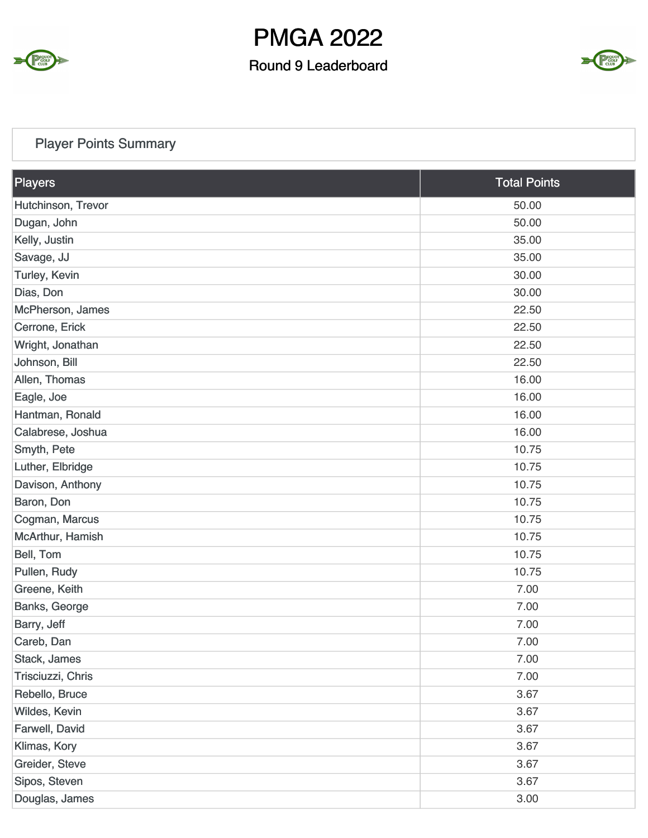

### Round 9 Leaderboard



## Player Points Summary

| Players            | <b>Total Points</b> |
|--------------------|---------------------|
| Hutchinson, Trevor | 50.00               |
| Dugan, John        | 50.00               |
| Kelly, Justin      | 35.00               |
| Savage, JJ         | 35.00               |
| Turley, Kevin      | 30.00               |
| Dias, Don          | 30.00               |
| McPherson, James   | 22.50               |
| Cerrone, Erick     | 22.50               |
| Wright, Jonathan   | 22.50               |
| Johnson, Bill      | 22.50               |
| Allen, Thomas      | 16.00               |
| Eagle, Joe         | 16.00               |
| Hantman, Ronald    | 16.00               |
| Calabrese, Joshua  | 16.00               |
| Smyth, Pete        | 10.75               |
| Luther, Elbridge   | 10.75               |
| Davison, Anthony   | 10.75               |
| Baron, Don         | 10.75               |
| Cogman, Marcus     | 10.75               |
| McArthur, Hamish   | 10.75               |
| Bell, Tom          | 10.75               |
| Pullen, Rudy       | 10.75               |
| Greene, Keith      | 7.00                |
| Banks, George      | 7.00                |
| Barry, Jeff        | 7.00                |
| Careb, Dan         | 7.00                |
| Stack, James       | 7.00                |
| Trisciuzzi, Chris  | 7.00                |
| Rebello, Bruce     | 3.67                |
| Wildes, Kevin      | 3.67                |
| Farwell, David     | 3.67                |
| Klimas, Kory       | 3.67                |
| Greider, Steve     | 3.67                |
| Sipos, Steven      | 3.67                |
| Douglas, James     | 3.00                |

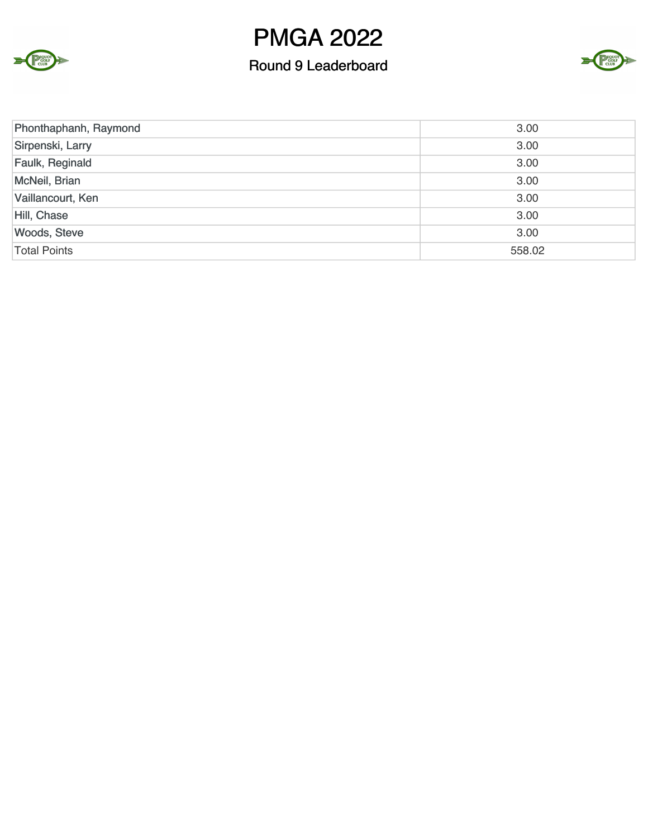



| Phonthaphanh, Raymond | 3.00   |
|-----------------------|--------|
| Sirpenski, Larry      | 3.00   |
| Faulk, Reginald       | 3.00   |
| McNeil, Brian         | 3.00   |
| Vaillancourt, Ken     | 3.00   |
| Hill, Chase           | 3.00   |
| <b>Woods, Steve</b>   | 3.00   |
| <b>Total Points</b>   | 558.02 |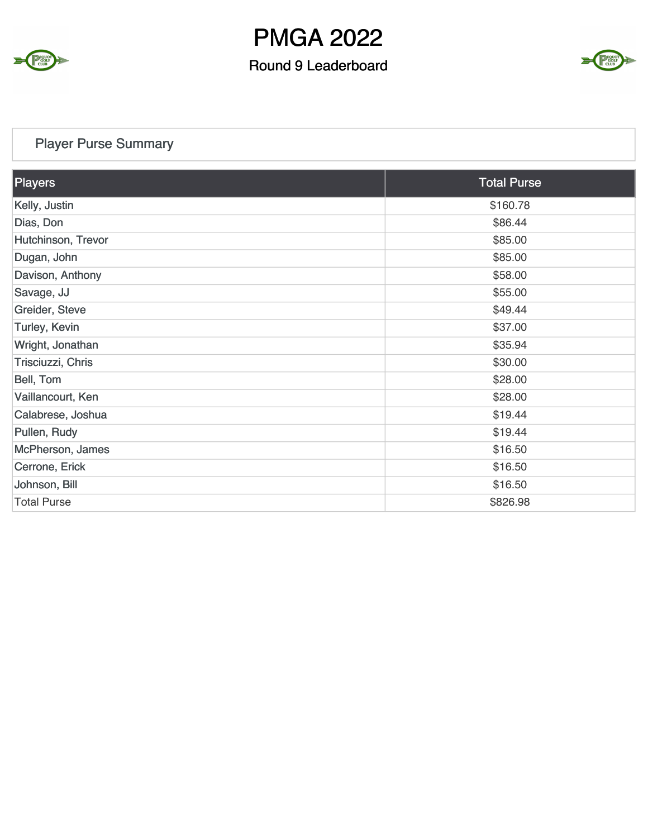

### Round 9 Leaderboard



## Player Purse Summary

Σ

CLUB<sub>CLUB</sub>

| Players            | <b>Total Purse</b> |
|--------------------|--------------------|
| Kelly, Justin      | \$160.78           |
| Dias, Don          | \$86.44            |
| Hutchinson, Trevor | \$85.00            |
| Dugan, John        | \$85.00            |
| Davison, Anthony   | \$58.00            |
| Savage, JJ         | \$55.00            |
| Greider, Steve     | \$49.44            |
| Turley, Kevin      | \$37.00            |
| Wright, Jonathan   | \$35.94            |
| Trisciuzzi, Chris  | \$30.00            |
| Bell, Tom          | \$28.00            |
| Vaillancourt, Ken  | \$28.00            |
| Calabrese, Joshua  | \$19.44            |
| Pullen, Rudy       | \$19.44            |
| McPherson, James   | \$16.50            |
| Cerrone, Erick     | \$16.50            |
| Johnson, Bill      | \$16.50            |
| <b>Total Purse</b> | \$826.98           |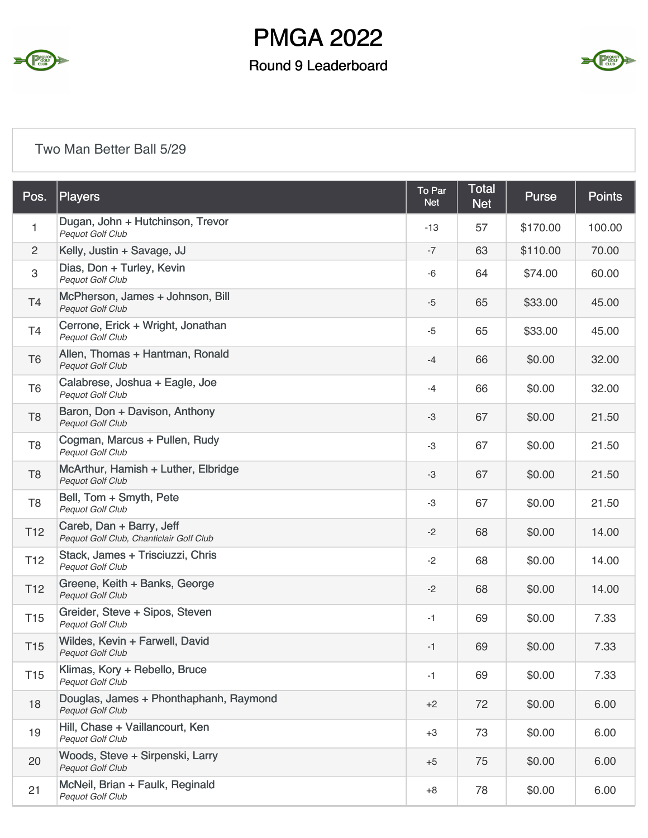

### Round 9 Leaderboard



#### Two Man Better Ball 5/29

| Pos.                      | <b>Players</b>                                                      | To Par<br><b>Net</b> | <b>Total</b><br><b>Net</b> | <b>Purse</b> | <b>Points</b> |
|---------------------------|---------------------------------------------------------------------|----------------------|----------------------------|--------------|---------------|
| 1                         | Dugan, John + Hutchinson, Trevor<br>Pequot Golf Club                | $-13$                | 57                         | \$170.00     | 100.00        |
| 2                         | Kelly, Justin + Savage, JJ                                          | $-7$                 | 63                         | \$110.00     | 70.00         |
| $\ensuremath{\mathsf{3}}$ | Dias, Don + Turley, Kevin<br><b>Pequot Golf Club</b>                | -6                   | 64                         | \$74.00      | 60.00         |
| T <sub>4</sub>            | McPherson, James + Johnson, Bill<br>Pequot Golf Club                | $-5$                 | 65                         | \$33.00      | 45.00         |
| T <sub>4</sub>            | Cerrone, Erick + Wright, Jonathan<br>Pequot Golf Club               | $-5$                 | 65                         | \$33.00      | 45.00         |
| T <sub>6</sub>            | Allen, Thomas + Hantman, Ronald<br>Pequot Golf Club                 | $-4$                 | 66                         | \$0.00       | 32.00         |
| T <sub>6</sub>            | Calabrese, Joshua + Eagle, Joe<br><b>Pequot Golf Club</b>           | -4                   | 66                         | \$0.00       | 32.00         |
| T <sub>8</sub>            | Baron, Don + Davison, Anthony<br>Pequot Golf Club                   | $-3$                 | 67                         | \$0.00       | 21.50         |
| T <sub>8</sub>            | Cogman, Marcus + Pullen, Rudy<br>Pequot Golf Club                   | -3                   | 67                         | \$0.00       | 21.50         |
| T <sub>8</sub>            | McArthur, Hamish + Luther, Elbridge<br>Pequot Golf Club             | $-3$                 | 67                         | \$0.00       | 21.50         |
| T <sub>8</sub>            | Bell, Tom + Smyth, Pete<br><b>Pequot Golf Club</b>                  | -3                   | 67                         | \$0.00       | 21.50         |
| T <sub>12</sub>           | Careb, Dan + Barry, Jeff<br>Pequot Golf Club, Chanticlair Golf Club | $-2$                 | 68                         | \$0.00       | 14.00         |
| T <sub>12</sub>           | Stack, James + Trisciuzzi, Chris<br>Pequot Golf Club                | $-2$                 | 68                         | \$0.00       | 14.00         |
| T <sub>12</sub>           | Greene, Keith + Banks, George<br>Pequot Golf Club                   | $-2$                 | 68                         | \$0.00       | 14.00         |
| <b>T15</b>                | Greider, Steve + Sipos, Steven<br><b>Pequot Golf Club</b>           | $-1$                 | 69                         | \$0.00       | 7.33          |
| T <sub>15</sub>           | Wildes, Kevin + Farwell, David<br>Pequot Golf Club                  | $-1$                 | 69                         | \$0.00       | 7.33          |
| <b>T15</b>                | Klimas, Kory + Rebello, Bruce<br>Pequot Golf Club                   | $-1$                 | 69                         | \$0.00       | 7.33          |
| 18                        | Douglas, James + Phonthaphanh, Raymond<br><b>Pequot Golf Club</b>   | $+2$                 | 72                         | \$0.00       | 6.00          |
| 19                        | Hill, Chase + Vaillancourt, Ken<br>Pequot Golf Club                 | $+3$                 | 73                         | \$0.00       | 6.00          |
| 20                        | Woods, Steve + Sirpenski, Larry<br>Pequot Golf Club                 | $+5$                 | 75                         | \$0.00       | 6.00          |
| 21                        | McNeil, Brian + Faulk, Reginald<br>Pequot Golf Club                 | $+8$                 | 78                         | \$0.00       | 6.00          |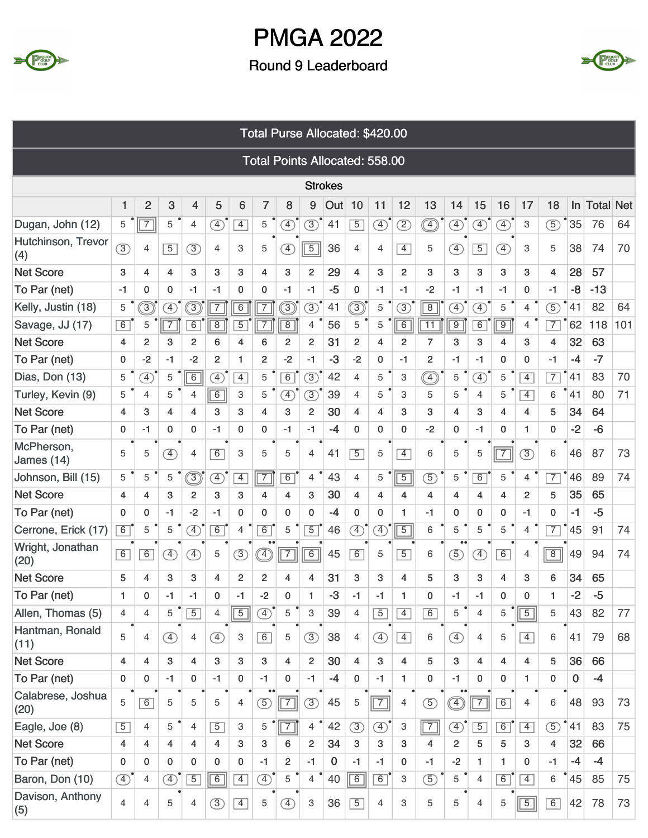



|                           |                |                |                              |                |                |                | Total Purse Allocated: \$420.00       |                |                |                |                |               |                |                 |                            |                |                              |                |                |                 |                  |     |
|---------------------------|----------------|----------------|------------------------------|----------------|----------------|----------------|---------------------------------------|----------------|----------------|----------------|----------------|---------------|----------------|-----------------|----------------------------|----------------|------------------------------|----------------|----------------|-----------------|------------------|-----|
|                           |                |                |                              |                |                |                | <b>Total Points Allocated: 558.00</b> |                |                |                |                |               |                |                 |                            |                |                              |                |                |                 |                  |     |
|                           |                |                |                              |                |                |                |                                       |                |                | <b>Strokes</b> |                |               |                |                 |                            |                |                              |                |                |                 |                  |     |
|                           | 1              | $\overline{2}$ | 3                            | 4              | 5              | 6              | $\overline{7}$                        | 8              | 9              | Out            | 10             | 11            | 12             | 13              | 14                         | 15             | 16                           | 17             | 18             | <b>In</b>       | <b>Total Net</b> |     |
| Dugan, John (12)          | 5              | $\boxed{7}$    | 5                            | 4              | ④              | $\overline{4}$ | 5                                     | Ŧ,             | $\circled{3}$  | 41             | $\overline{5}$ | $\circled{4}$ | ②              |                 | Ð                          | $\circled{4}$  | $\circled{4}$                | 3              | $\circled{5}$  | 35              | 76               | 64  |
| Hutchinson, Trevor<br>(4) | (3)            | 4              | $\overline{5}$               | $\circled{3}$  | 4              | 3              | 5                                     | $\circled{4}$  | $\overline{5}$ | 36             | 4              | 4             | $\overline{4}$ | 5               | $\circled{4}$              | $\overline{5}$ | $\left( \overline{4}\right)$ | 3              | 5              | 38              | 74               | 70  |
| <b>Net Score</b>          | 3              | 4              | 4                            | 3              | 3              | 3              | 4                                     | 3              | $\overline{c}$ | 29             | 4              | 3             | $\overline{2}$ | 3               | 3                          | 3              | 3                            | 3              | 4              | 28              | 57               |     |
| To Par (net)              | $-1$           | 0              | 0                            | $-1$           | $-1$           | 0              | 0                                     | $-1$           | $-1$           | $-5$           | $\mathbf 0$    | $-1$          | $-1$           | $-2$            | $-1$                       | $-1$           | $-1$                         | 0              | $-1$           | -8              | $-13$            |     |
| Kelly, Justin (18)        | 5              | ◉              | $\circled{4}$                | ③              | $\overline{7}$ | $\overline{6}$ | $\overline{7}$                        | ③              | $\circled{3}$  | 41             | $\circledS$    | 5             | $\circled{3}$  | $\overline{8}$  | Ð                          | $\circled{4}$  | 5                            | $\overline{4}$ | $\circled{5}$  | 41              | 82               | 64  |
| Savage, JJ (17)           | 6              | 5              | $\overline{7}$               | $\overline{6}$ | $\overline{8}$ | $\overline{5}$ | $\overline{7}$                        | $\overline{8}$ | 4              | 56             | 5              | 5             | $\overline{6}$ | $\overline{11}$ | $\overline{9}$             | $\overline{6}$ | $\overline{9}$               | $\overline{4}$ | $\overline{7}$ | 62              | 118              | 101 |
| <b>Net Score</b>          | 4              | $\overline{2}$ | 3                            | $\overline{2}$ | 6              | 4              | 6                                     | $\overline{2}$ | $\overline{c}$ | 31             | 2              | 4             | 2              | $\overline{7}$  | 3                          | 3              | 4                            | 3              | 4              | 32              | 63               |     |
| To Par (net)              | 0              | $-2$           | $-1$                         | $-2$           | $\overline{2}$ | 1              | $\overline{2}$                        | $-2$           | $-1$           | $-3$           | $-2$           | 0             | $-1$           | $\overline{c}$  | $-1$                       | $-1$           | $\mathbf 0$                  | 0              | $-1$           | $-4$            | $-7$             |     |
| Dias, Don (13)            | 5              | F)             | 5                            | 6              | A)             | $\overline{4}$ | 5                                     | $\overline{6}$ | $\circled{3}$  | 42             | 4              | 5             | 3              |                 | 5                          | $\circled{4}$  | 5                            | $\overline{4}$ | $\overline{7}$ | 41              | 83               | 70  |
| Turley, Kevin (9)         | 5              | 4              | 5                            | $\overline{4}$ | 6              | 3              | 5                                     | $\boxed{4}$    | $\circled{3}$  | 39             | 4              | 5             | 3              | 5               | 5                          | 4              | 5                            | $\overline{4}$ | 6              | 41              | 80               | 71  |
| <b>Net Score</b>          | 4              | 3              | 4                            | 4              | 3              | 3              | 4                                     | 3              | 2              | 30             | 4              | 4             | 3              | 3               | 4                          | 3              | 4                            | 4              | 5              | 34              | 64               |     |
| To Par (net)              | 0              | $-1$           | 0                            | 0              | $-1$           | 0              | 0                                     | $-1$           | $-1$           | $-4$           | $\Omega$       | 0             | $\mathbf{0}$   | $-2$            | $\mathbf 0$                | $-1$           | 0                            | 1              | 0              | $-2$            | $-6$             |     |
| McPherson,<br>James (14)  | 5              | 5              | $\circled{4}$                | $\overline{4}$ | 6              | 3              | 5                                     | 5              | $\overline{4}$ | 41             | $\overline{5}$ | 5             | $\overline{4}$ | 6               | 5                          | 5              | $\overline{7}$               | $\circled{3}$  | 6              | 46              | 87               | 73  |
| Johnson, Bill (15)        | 5              | 5              | 5                            | $\circledS$    | $\circled{4}$  | $\overline{4}$ | $\overline{7}$                        | 6              | 4              | 43             | 4              | 5             | $\overline{5}$ | $\circled{5}$   | 5                          | 6              | 5                            | $\overline{4}$ | $\overline{7}$ | 46              | 89               | 74  |
| <b>Net Score</b>          | 4              | 4              | 3                            | 2              | 3              | 3              | 4                                     | 4              | 3              | 30             | 4              | 4             | 4              | 4               | 4                          | 4              | 4                            | $\overline{2}$ | 5              | 35              | 65               |     |
| To Par (net)              | $\mathbf 0$    | 0              | $-1$                         | $-2$           | $-1$           | 0              | $\mathbf 0$                           | $\Omega$       | 0              | $-4$           | $\mathbf 0$    | 0             | 1              | $-1$            | 0                          | 0              | 0                            | $-1$           | 0              | $-1$            | $-5$             |     |
| Cerrone, Erick (17)       | 6              | 5              | 5                            | <sup>4</sup>   | 6              | 4              | 6                                     | 5              | $\overline{5}$ | 46             | $\circled{4}$  | $\bigoplus$   | $\overline{5}$ | 6               | 5                          | 5              | 5                            | $\overline{4}$ | $\overline{7}$ | 45              | 91               | 74  |
| Wright, Jonathan<br>(20)  | 6              | $\overline{6}$ | $\left( \overline{4}\right)$ | $\circled{4}$  | 5              | $\circled{3}$  |                                       | $\overline{7}$ | $\overline{6}$ | 45             | 6              | 5             | $\overline{5}$ | 6               | $\bullet$<br>$\circled{5}$ | $\circled{4}$  | 6                            | 4              | $\overline{8}$ | 49              | 94               | 74  |
| <b>Net Score</b>          | 5              | 4              | 3                            | 3              | 4              | $\overline{2}$ | 2                                     | 4              | 4              | 31             | 3              | 3             | 4              | 5               | 3                          | 3              | $\overline{\mathbf{4}}$      | 3              | 6              | 34              | 65               |     |
| To Par (net)              |                | 0              | -1                           | $-1$           | 0              | -1             | -2                                    | O              | 1              | -3             | -1             | -1            | 1              | 0               | -1                         | $-1$           | $\mathbf{0}$                 | 0              | 1              | $-2$            | $-5$             |     |
| Allen, Thomas (5)         | 4              | $\overline{4}$ | 5                            | $\overline{5}$ | 4              | $\sqrt{5}$     | $\bigoplus$                           | 5              | 3              | 39             | 4              | $\boxed{5}$   | $\overline{4}$ | 6               | 5                          | $\overline{4}$ | 5                            | $\overline{5}$ | 5              | 43              | 82               | 77  |
| Hantman, Ronald<br>(11)   | 5              | 4              | $\circled{4}$                | 4              | $\circled{4}$  | 3              | 6                                     | 5              | $\circled{3}$  | 38             | $\overline{4}$ | $\circled{4}$ | $\overline{4}$ | 6               | $\circled{4}$              | 4              | 5                            | $\overline{4}$ | 6              | 41              | 79               | 68  |
| <b>Net Score</b>          | $\overline{4}$ | 4              | 3                            | $\overline{4}$ | 3              | 3              | 3                                     | $\overline{4}$ | $\overline{2}$ | 30             | $\overline{4}$ | 3             | 4              | 5               | 3                          | 4              | 4                            | $\overline{4}$ | 5              | 36              | 66               |     |
| To Par (net)              | 0              | 0              | $-1$                         | $\mathbf 0$    | $-1$           | $\mathbf 0$    | $-1$                                  | $\mathbf{0}$   | $-1$           | $-4$           | $\mathbf{0}$   | $-1$          | $\mathbf{1}$   | 0               | $-1$                       | 0              | 0                            | 1              | 0              | $\mathbf 0$     | $-4$             |     |
| Calabrese, Joshua<br>(20) | 5              | 6              | 5                            | 5              | 5              | 4              | $\circled{5}$                         | $\overline{7}$ | $\circled{3}$  | 45             | 5              | $\boxed{7}$   | $\overline{4}$ | $\circled{5}$   |                            | $\overline{7}$ | 6                            | 4              | 6              | 48              | 93               | 73  |
| Eagle, Joe (8)            | $\overline{5}$ | 4              | 5                            | $\overline{4}$ | $\boxed{5}$    | 3              | 5                                     | $\sqrt{7}$     | $\overline{4}$ | 42             | $\circled{3}$  | $\circled{4}$ | 3              | $\boxed{7}$     | $\circled{4}$              | $\overline{5}$ | $\boxed{6}$                  | $\overline{4}$ | $\circled{5}$  | $^{\bullet}$ 41 | 83               | 75  |
| <b>Net Score</b>          | $\overline{4}$ | 4              | 4                            | 4              | $\overline{4}$ | 3              | 3                                     | 6              | $\overline{2}$ | 34             | 3              | 3             | 3              | 4               | $\overline{2}$             | 5              | 5                            | 3              | 4              | 32              | 66               |     |
| To Par (net)              | 0              | 0              | $\mathbf{0}$                 | $\mathbf{0}$   | $\mathbf{0}$   | 0              | $-1$                                  | $\overline{2}$ | $-1$           | $\mathbf 0$    | $-1$           | $-1$          | $\mathbf{0}$   | $-1$            | $-2$                       | $\mathbf{1}$   | 1                            | 0              | $-1$           | $-4$            | $-4$             |     |
| Baron, Don (10)           | $\circled{4}$  | 4              | $\circled{4}$                | $\overline{5}$ | $\boxed{6}$    | $\overline{4}$ | $\bigoplus$                           | 5              | $\overline{4}$ | 40             | 6              | $\boxed{6}$   | 3              | $\circled{5}$   | 5                          | $\overline{4}$ | $\boxed{6}$                  | $\overline{4}$ | 6              | 45              | 85               | 75  |
| Davison, Anthony<br>(5)   | 4              | 4              | 5                            | 4              | $\circled{3}$  | $\overline{4}$ | 5                                     | $\circled{4}$  | 3              | 36             | $\sqrt{5}$     | 4             | 3              | 5               | 5                          | 4              | 5                            | $\boxed{5}$    | 6              | 42              | 78               | 73  |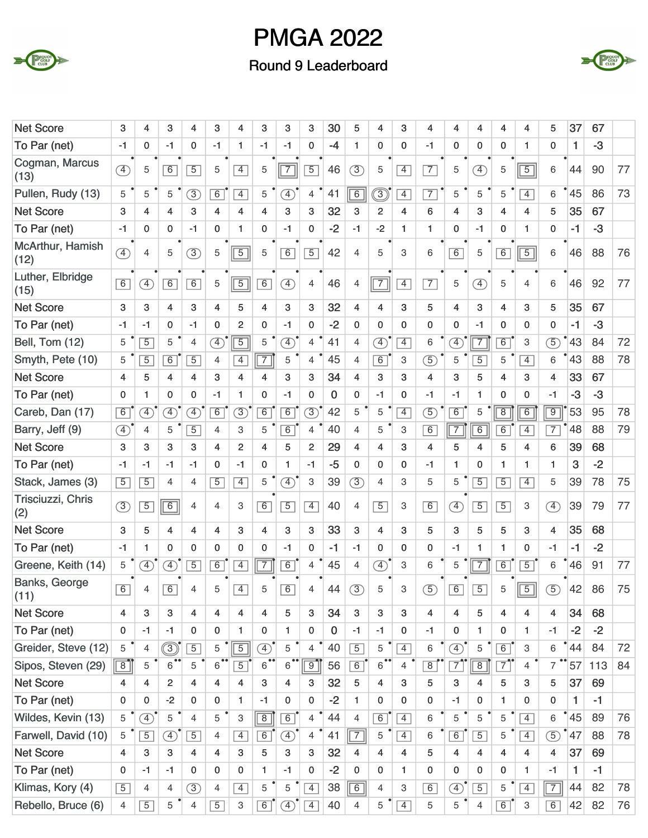



| <b>Net Score</b>         | 3              | 4              | 3              | 4              | 3              | 4              | 3              | 3                            | 3              | 30           | 5              | 4                 | 3              | 4                       | 4              | 4              | 4              | 4                     | 5                            | 37   | 67   |    |
|--------------------------|----------------|----------------|----------------|----------------|----------------|----------------|----------------|------------------------------|----------------|--------------|----------------|-------------------|----------------|-------------------------|----------------|----------------|----------------|-----------------------|------------------------------|------|------|----|
| To Par (net)             | $-1$           | $\mathbf 0$    | $-1$           | 0              | $-1$           | 1              | $-1$           | $-1$                         | 0              | $-4$         | 1              | $\mathbf 0$       | $\mathbf{0}$   | $-1$                    | 0              | $\mathbf 0$    | 0              | 1                     | 0                            | 1    | $-3$ |    |
| Cogman, Marcus<br>(13)   | $\circled{4}$  | 5              | 6              | $\overline{5}$ | 5              | $\overline{4}$ | 5              | $\overline{7}$               | $\overline{5}$ | 46           | $\circled{3}$  | 5                 | $\overline{4}$ | $\overline{7}$          | 5              | $\circled{4}$  | 5              | $\boxed{5}$           | 6                            | 44   | 90   | 77 |
| Pullen, Rudy (13)        | 5              | 5              | 5              | $\circled{3}$  | 6              | $\overline{4}$ | 5              | $\left( \overline{4}\right)$ | $\overline{4}$ | 41           | $\overline{6}$ | $\circled{3}$     | $\overline{4}$ | $\overline{7}$          | 5              | 5              | 5              | $\overline{4}$        | 6                            | 45   | 86   | 73 |
| <b>Net Score</b>         | 3              | 4              | 4              | 3              | 4              | 4              | 4              | 3                            | 3              | 32           | 3              | $\overline{2}$    | 4              | 6                       | 4              | 3              | 4              | 4                     | 5                            | 35   | 67   |    |
| To Par (net)             | $-1$           | $\mathbf{0}$   | 0              | $-1$           | $\mathbf{0}$   | 1              | 0              | $-1$                         | 0              | $-2$         | $-1$           | $-2$              | 1.             | $\mathbf{1}$            | 0              | $-1$           | $\mathbf{0}$   | 1                     | 0                            | $-1$ | $-3$ |    |
| McArthur, Hamish<br>(12) | $\circled{4}$  | $\overline{4}$ | 5              | $\overline{3}$ | 5              | $\boxed{5}$    | 5              | 6                            | $\overline{5}$ | 42           | 4              | 5                 | 3              | 6                       | 6              | 5              | 6              | $\boxed{5}$           | 6                            | 46   | 88   | 76 |
| Luther, Elbridge<br>(15) | $\boxed{6}$    | Ð              | 6              | 6              | 5              | $\boxed{5}$    | 6              | $\circled{4}$                | 4              | 46           | 4              | $\boxed{7}$       | $\overline{4}$ | $\overline{7}$          | 5              | $\circled{4}$  | 5              | $\overline{4}$        | 6                            | 46   | 92   | 77 |
| <b>Net Score</b>         | 3              | 3              | 4              | 3              | 4              | 5              | 4              | 3                            | 3              | 32           | 4              | 4                 | 3              | 5                       | 4              | 3              | 4              | 3                     | 5                            | 35   | 67   |    |
| To Par (net)             | $-1$           | $-1$           | 0              | $-1$           | $\mathbf 0$    | 2              | 0              | $-1$                         | $\mathbf 0$    | $-2$         | $\mathbf 0$    | $\mathbf 0$       | 0              | 0                       | $\mathbf 0$    | $-1$           | $\mathbf{0}$   | 0                     | $\mathbf 0$                  | $-1$ | $-3$ |    |
| Bell, Tom (12)           | 5              | $\overline{5}$ | 5              | $\overline{4}$ | $\circled{4}$  | $\boxed{5}$    | 5              | $\circled{4}$                | $\overline{4}$ | 41           | $\overline{4}$ | $\bigoplus$       | $\overline{4}$ | 6                       | <sup>4</sup>   | $\overline{7}$ | 6              | 3                     | $\circled{5}$                | 43   | 84   | 72 |
| Smyth, Pete (10)         | 5              | $\overline{5}$ | $\overline{6}$ | $\overline{5}$ | 4              | $\overline{4}$ | $\overline{7}$ | 5                            | 4              | 45           | $\overline{4}$ | 6                 | 3              | $\circled{5}$           | 5              | $\overline{5}$ | 5              | $\overline{4}$        | 6                            | 43   | 88   | 78 |
| <b>Net Score</b>         | 4              | 5              | 4              | 4              | 3              | 4              | 4              | 3                            | 3              | 34           | 4              | 3                 | 3              | 4                       | 3              | 5              | 4              | 3                     | 4                            | 33   | 67   |    |
| To Par (net)             | $\mathbf 0$    | 1              | 0              | 0              | $-1$           | 1              | $\mathbf 0$    | $-1$                         | 0              | $\mathbf{0}$ | 0              | $-1$              | 0              | $-1$                    | $-1$           | $\mathbf{1}$   | 0              | 0                     | $-1$                         | $-3$ | $-3$ |    |
| Careb, Dan (17)          | 6              | $\bigoplus$    | <sup>4</sup>   | $\bigoplus$    | 6              | $\circled{3}$  | 6              | 6                            | $\circled{3}$  | 42           | 5              | 5                 | $\overline{4}$ | $\circled{5}$           | 6              | 5              | $\overline{8}$ | 6                     | $\overline{9}$               | 53   | 95   | 78 |
| Barry, Jeff (9)          | $\circled{4}$  | $\overline{4}$ | 5              | $\overline{5}$ | 4              | 3              | 5              | 6                            | 4              | 40           | 4              | 5                 | 3              | 6                       | $\overline{7}$ | $\overline{6}$ | 6              | $\overline{4}$        | $\overline{7}$               | 48   | 88   | 79 |
| <b>Net Score</b>         | 3              | 3              | 3              | 3              | $\overline{4}$ | $\overline{c}$ | 4              | 5                            | $\overline{c}$ | 29           | 4              | 4                 | 3              | 4                       | 5              | 4              | 5              | 4                     | 6                            | 39   | 68   |    |
| To Par (net)             | $-1$           | $-1$           | $-1$           | $-1$           | $\mathbf 0$    | $-1$           | 0              | 1                            | $-1$           | $-5$         | $\mathbf 0$    | $\mathbf 0$       | 0              | $-1$                    | 1              | $\mathbf 0$    | $\mathbf{1}$   | 1                     | $\mathbf{1}$                 | 3    | $-2$ |    |
| Stack, James (3)         | $\overline{5}$ | $\overline{5}$ | 4              | $\overline{4}$ | $\overline{5}$ | $\overline{4}$ | 5              | $\mathcal{F}$                | 3              | 39           | (3)            | $\overline{4}$    | З              | 5                       | 5              | $\overline{5}$ | $\overline{5}$ | $\vert 4 \vert$       | 5                            | 39   | 78   | 75 |
| Trisciuzzi, Chris<br>(2) | (3)            | $\overline{5}$ | $\overline{6}$ | $\overline{4}$ | 4              | 3              | 6              | $\overline{5}$               | $\overline{4}$ | 40           | $\overline{4}$ | $\overline{5}$    | 3              | $\overline{6}$          | $\circled{4}$  | $\overline{5}$ | $\overline{5}$ | 3                     | $\left( \overline{4}\right)$ | 39   | 79   | 77 |
| <b>Net Score</b>         | 3              | 5              | 4              | 4              | 4              | 3              | $\overline{4}$ | 3                            | 3              | 33           | 3              | 4                 | 3              | 5                       | 3              | 5              | 5              | 3                     | 4                            | 35   | 68   |    |
| To Par (net)             | $-1$           | 1              | $\Omega$       | 0              | $\mathbf 0$    | $\mathbf 0$    | $\mathbf 0$    | $-1$                         | 0              | $-1$         | $-1$           | 0                 | $\mathbf{0}$   | 0                       | $-1$           | $\mathbf{1}$   | 1.             | 0                     | $-1$                         | $-1$ | $-2$ |    |
| Greene, Keith (14)       | 5              | $\circled{4}$  | $\circled{4}$  | $\overline{5}$ | 6              | $\overline{4}$ | $\overline{7}$ | 6                            | 4              | 45           | $\overline{4}$ | $\bigoplus$       | 3              | $\,6$                   | 5              | $\overline{7}$ | 6              | $\overline{5}$        | 6                            | 46   | 91   | 77 |
| Banks, George<br>(11)    | 6              | 4              | $\overline{6}$ | 4              | 5              | 4              | 5              | $\overline{6}$               | 4              | 44           | $\overline{3}$ | 5                 | 3              | $\overline{5}$          | $\overline{6}$ | $\overline{5}$ | 5              | $\overline{5}$<br>$-$ | $\overline{5}$               | 42   | 86   | 75 |
| <b>Net Score</b>         | $\overline{4}$ | 3              | 3              | 4              | $\overline{4}$ | 4              | $\overline{4}$ | 5                            | 3              | 34           | 3              | 3                 | 3              | $\overline{\mathbf{4}}$ | 4              | 5              | 4              | 4                     | $\overline{4}$               | 34   | 68   |    |
| To Par (net)             | 0              | $-1$           | $-1$           | 0              | $\mathbf 0$    | 1              | 0              | $\mathbf{1}$                 | 0              | $\mathbf 0$  | $-1$           | $-1$              | 0              | $-1$                    | 0              | $\mathbf{1}$   | $\mathbf{0}$   | 1.                    | $-1$                         | $-2$ | $-2$ |    |
| Greider, Steve (12)      | 5              | 4              | $\circledS$    | $\overline{5}$ | 5              | $\overline{5}$ | $\circled{4}$  | 5                            | 4              | 40           | $\overline{5}$ | 5                 | $\overline{4}$ | 6                       | $\bigoplus$    | 5              | $\boxed{6}$    | 3                     | 6                            | 44   | 84   | 72 |
| Sipos, Steven (29)       | $\sqrt{8}$     | 5              | $\overline{6}$ | 5              | $\overline{6}$ | $\overline{5}$ | $\overline{6}$ | $6^{\bullet\bullet}$         | $\boxed{9}$    | 56           | $\boxed{6}$    | $6$ <sup>**</sup> | 4              | $\overline{8}$          | $\overline{7}$ | $\overline{8}$ | $\overline{7}$ | 4                     | $\overline{7}$               | 57   | 113  | 84 |
| <b>Net Score</b>         | 4              | $\overline{4}$ | $\overline{2}$ | 4              | $\overline{4}$ | 4              | 3              | $\overline{4}$               | 3              | 32           | 5              | $\overline{4}$    | 3              | 5                       | 3              | $\overline{4}$ | 5              | 3                     | 5                            | 37   | 69   |    |
| To Par (net)             | 0              | $\mathbf 0$    | $-2$           | 0              | $\mathbf 0$    | 1              | $-1$           | $\mathbf 0$                  | $\mathbf 0$    | $-2$         | 1              | $\mathbf 0$       | $\mathbf 0$    | $\mathbf 0$             | $-1$           | $\mathbf 0$    | $\mathbf{1}$   | 0                     | $\mathbf 0$                  | 1    | $-1$ |    |
| Wildes, Kevin (13)       | 5              | $\circled{4}$  | 5              | $\overline{4}$ | 5              | 3              | $\boxed{8}$    | $\overline{6}$               | $\overline{4}$ | 44           | $\overline{4}$ | 6                 | $\overline{4}$ | 6                       | 5              | 5              | 5              | $\overline{4}$        | 6                            | 45   | 89   | 76 |
| Farwell, David (10)      | 5              | $\overline{5}$ | $\circled{4}$  | $\overline{5}$ | $\overline{4}$ | $\overline{4}$ | 6              | $\circled{4}$                | $\overline{4}$ | 41           | $\boxed{7}$    | 5                 | $\overline{4}$ | 6                       | 6              | $\overline{5}$ | 5              | $\overline{4}$        | $\circled{5}$                | 47   | 88   | 78 |
| <b>Net Score</b>         | 4              | 3              | 3              | 4              | $\overline{4}$ | 3              | 5              | 3                            | 3              | 32           | 4              | $\overline{4}$    | 4              | 5                       | $\overline{4}$ | $\overline{4}$ | 4              | 4                     | $\overline{4}$               | 37   | 69   |    |
| To Par (net)             | $\mathbf{0}$   | $-1$           | $-1$           | 0              | $\mathbf 0$    | $\mathbf{0}$   | 1              | $-1$                         | 0              | $-2$         | $\mathbf{0}$   | $\mathbf 0$       | $\mathbf{1}$   | 0                       | 0              | $\mathbf 0$    | 0              | 1                     | $-1$                         | 1    | $-1$ |    |
| Klimas, Kory (4)         | $\boxed{5}$    | 4              | $\overline{4}$ | $\circled{3}$  | $\overline{4}$ | $\overline{4}$ | 5              | 5                            | $\overline{4}$ | 38           | $\boxed{6}$    | $\overline{4}$    | 3              | 6                       | Ð              | $\overline{5}$ | 5              | $\overline{4}$        | $\boxed{7}$                  | 44   | 82   | 78 |
| Rebello, Bruce (6)       | 4              | $\boxed{5}$    | 5              | 4              | $\overline{5}$ | 3              | 6              | ④                            | $\sqrt{4}$     | 40           | 4              | 5                 | $\overline{4}$ | 5                       | 5              | $\overline{4}$ | $\overline{6}$ | 3                     | 6                            | 42   | 82   | 76 |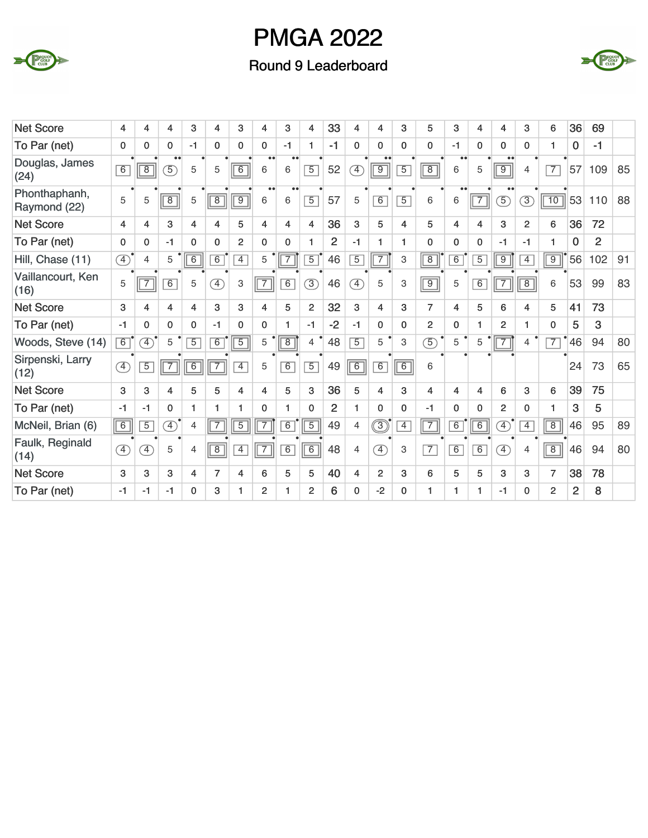



| <b>Net Score</b>              | 4                            | 4                            | 4              | 3              | 4                            | 3              | 4                     | 3                     | 4              | 33             | 4              | 4                       | 3              | 5              | 3                     | 4              | 4                            | 3              | 6               | 36             | 69             |    |
|-------------------------------|------------------------------|------------------------------|----------------|----------------|------------------------------|----------------|-----------------------|-----------------------|----------------|----------------|----------------|-------------------------|----------------|----------------|-----------------------|----------------|------------------------------|----------------|-----------------|----------------|----------------|----|
| To Par (net)                  | $\mathbf{0}$                 | $\Omega$                     | $\Omega$       | $-1$           | $\Omega$                     | $\Omega$       | $\mathbf{0}$          | $-1$                  | 1              | $-1$           | $\mathbf{0}$   | $\mathbf{0}$            | $\Omega$       | $\mathbf{0}$   | $-1$                  | $\mathbf{0}$   | $\Omega$                     | $\Omega$       |                 | 0              | $-1$           |    |
| Douglas, James<br>(24)        | 6                            | $\overline{8}$               | $\circled{5}$  | 5              | 5                            | 6              | $\bullet\bullet$<br>6 | $\bullet\bullet$<br>6 | $\overline{5}$ | 52             | ⊕              | $\boxed{9}$             | $\overline{5}$ | $\boxed{8}$    | $\bullet\bullet$<br>6 | 5              | $\overline{9}$               | $\overline{4}$ | $\overline{7}$  | 57             | 109            | 85 |
| Phonthaphanh,<br>Raymond (22) | 5                            | 5                            | $\overline{8}$ | 5              | $\overline{8}$               | $\overline{9}$ | $\bullet\bullet$<br>6 | $\bullet\bullet$<br>6 | $\overline{5}$ | 57             | 5              | 6                       | $\overline{5}$ | 6              | $\bullet\bullet$<br>6 | $\boxed{7}$    | $\circled{5}$                | $\circled{3}$  | $\overline{10}$ | 53             | 110            | 88 |
| <b>Net Score</b>              | 4                            | 4                            | 3              | 4              | 4                            | 5              | 4                     | 4                     | 4              | 36             | 3              | 5                       | 4              | 5              | 4                     | $\overline{4}$ | 3                            | $\overline{2}$ | 6               | 36             | 72             |    |
| To Par (net)                  | $\mathbf{0}$                 | $\mathbf 0$                  | $-1$           | $\mathbf 0$    | $\Omega$                     | $\overline{2}$ | $\mathbf 0$           | $\mathbf{0}$          | 1              | $\overline{2}$ | $-1$           | $\mathbf{1}$            | 1              | 0              | 0                     | 0              | $-1$                         | $-1$           | 1               | $\bf{0}$       | $\overline{2}$ |    |
| Hill, Chase (11)              | $\circled{4}$                | $\overline{4}$               | 5              | 6              | $\overline{6}$               | $\overline{4}$ | 5                     | $\overline{7}$        | $\overline{5}$ | 46             | $\overline{5}$ | 7                       | 3              | $\overline{8}$ | $\overline{6}$        | $\overline{5}$ | $\overline{9}$               | $\overline{4}$ | $\overline{9}$  | 56             | 102            | 91 |
| Vaillancourt, Ken<br>(16)     | 5                            | $\overline{7}$               | 6              | 5              | $\left( \overline{4}\right)$ | 3              | $\boxed{7}$           | 6                     | $\circled{3}$  | 46             | $\circled{4}$  | 5                       | 3              | $\boxed{9}$    | 5                     | 6              | $\overline{7}$               | $\overline{8}$ | 6               | 53             | 99             | 83 |
| <b>Net Score</b>              | 3                            | 4                            | 4              | 4              | 3                            | 3              | 4                     | 5                     | $\overline{2}$ | 32             | 3              | $\overline{4}$          | 3              | $\overline{7}$ | 4                     | 5              | 6                            | 4              | 5               | 41             | 73             |    |
| To Par (net)                  | $-1$                         | $\mathbf 0$                  | $\mathbf{0}$   | $\mathbf{0}$   | $-1$                         | $\mathbf 0$    | 0                     | 1                     | $-1$           | $-2$           | $-1$           | $\mathbf 0$             | $\mathbf{0}$   | 2              | $\mathbf{0}$          | 1              | $\overline{2}$               | 1.             | $\mathbf{0}$    | 5              | 3              |    |
| Woods, Steve (14)             | 6                            | $\left( \overline{4}\right)$ | 5              | $\overline{5}$ | 6                            | $\overline{5}$ | 5                     | $\overline{8}$        | $\overline{4}$ | 48             | $\overline{5}$ | 5                       | 3              | $\overline{5}$ | 5                     | 5              |                              | 4              | $\overline{7}$  | 46             | 94             | 80 |
| Sirpenski, Larry<br>(12)      | $\left( \overline{4}\right)$ | $\overline{5}$               | $\overline{7}$ | 6              | $\overline{7}$               | $\overline{4}$ | 5                     | 6                     | $\overline{5}$ | 49             | $\boxed{6}$    | $\overline{6}$          | 6              | 6              |                       |                |                              |                |                 | 24             | 73             | 65 |
| <b>Net Score</b>              | 3                            | 3                            | 4              | 5              | 5                            | 4              | 4                     | 5                     | 3              | 36             | 5              | $\overline{\mathbf{4}}$ | 3              | 4              | 4                     | $\overline{4}$ | 6                            | 3              | 6               | 39             | 75             |    |
| To Par (net)                  | $-1$                         | $-1$                         | $\Omega$       | 1              | 1.                           | 1              | $\mathbf{0}$          | 1                     | $\mathbf{0}$   | 2              | 1              | $\Omega$                | $\mathbf{0}$   | -1             | $\mathbf 0$           | $\mathbf{0}$   | $\overline{2}$               | 0              |                 | 3              | 5              |    |
| McNeil, Brian (6)             | 6                            | $\overline{5}$               | $\circledA$    | 4              | $\overline{7}$               | $\overline{5}$ | 7                     | $\overline{6}$        | $\overline{5}$ | 49             | $\overline{4}$ | $\circledS$             | $\overline{4}$ | $\overline{7}$ | $\overline{6}$        | $\overline{6}$ | $\left( \overline{4}\right)$ | $\overline{4}$ | $\overline{8}$  | 46             | 95             | 89 |
| Faulk, Reginald<br>(14)       | $\left( \overline{4}\right)$ | $\overline{4}$               | 5              | 4              | $\overline{8}$               | $\overline{4}$ | $\overline{7}$        | 6                     | $\boxed{6}$    | 48             | $\overline{4}$ | $\overline{4}$          | 3              | $\overline{7}$ | $\overline{6}$        | 6              | $\boxed{4}$                  | 4              | $\overline{8}$  | 46             | 94             | 80 |
| <b>Net Score</b>              | 3                            | 3                            | 3              | 4              | 7                            | 4              | 6                     | 5                     | 5              | 40             | 4              | $\overline{2}$          | 3              | 6              | 5                     | 5              | 3                            | 3              | $\overline{7}$  | 38             | 78             |    |
| To Par (net)                  | -1                           | $-1$                         | $-1$           | $\mathbf{0}$   | 3                            | 1              | $\overline{2}$        | 1                     | $\overline{2}$ | 6              | $\mathbf 0$    | $-2$                    | $\Omega$       | 1              | 1                     | $\mathbf{1}$   | $-1$                         | 0              | $\overline{2}$  | $\overline{2}$ | 8              |    |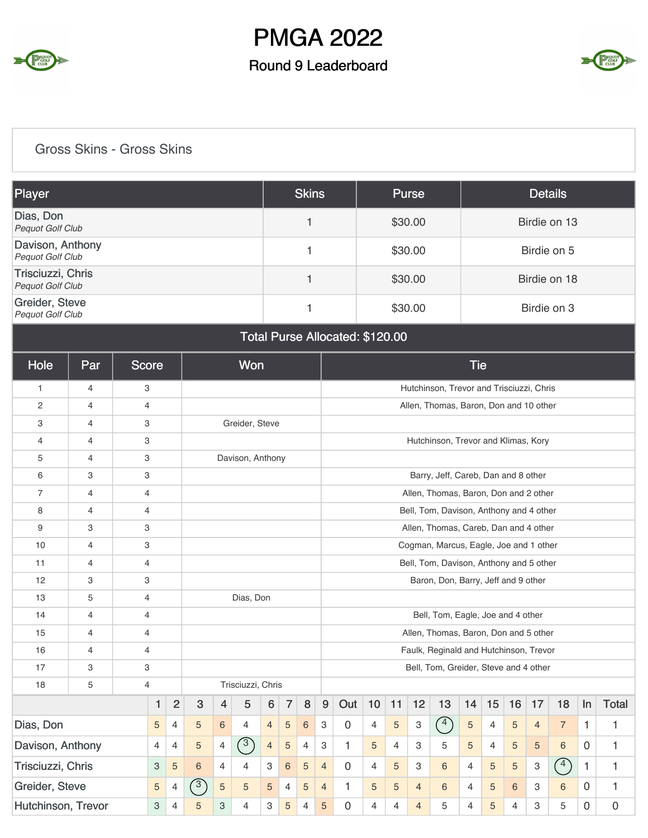

### Round 9 Leaderboard



### Gross Skins - Gross Skins

| Player                                       | <b>Skins</b> | <b>Purse</b> | <b>Details</b> |
|----------------------------------------------|--------------|--------------|----------------|
| Dias, Don<br><b>Pequot Golf Club</b>         |              | \$30.00      | Birdie on 13   |
| Davison, Anthony<br><b>Pequot Golf Club</b>  |              | \$30.00      | Birdie on 5    |
| Trisciuzzi, Chris<br><b>Pequot Golf Club</b> |              | \$30.00      | Birdie on 18   |
| Greider, Steve<br><b>Pequot Golf Club</b>    |              | \$30.00      | Birdie on 3    |

#### Total Purse Allocated: \$120.00

| Hole               | Par            |                | <b>Score</b>   |                |                |                | <b>Won</b>        |                |                |                |                           |              |                |                |                           |                                          | <b>Tie</b>     |                |                |                |                |              |              |
|--------------------|----------------|----------------|----------------|----------------|----------------|----------------|-------------------|----------------|----------------|----------------|---------------------------|--------------|----------------|----------------|---------------------------|------------------------------------------|----------------|----------------|----------------|----------------|----------------|--------------|--------------|
| $\mathbf{1}$       | 4              |                | 3              |                |                |                |                   |                |                |                |                           |              |                |                |                           | Hutchinson, Trevor and Trisciuzzi, Chris |                |                |                |                |                |              |              |
| $\mathbf{2}$       | $\overline{4}$ | $\overline{4}$ |                |                |                |                |                   |                |                |                |                           |              |                |                |                           | Allen, Thomas, Baron, Don and 10 other   |                |                |                |                |                |              |              |
| 3                  | $\overline{4}$ |                | 3              |                |                |                | Greider, Steve    |                |                |                |                           |              |                |                |                           |                                          |                |                |                |                |                |              |              |
| 4                  | $\overline{4}$ | 3              |                |                |                |                |                   |                |                |                |                           |              |                |                |                           | Hutchinson, Trevor and Klimas, Kory      |                |                |                |                |                |              |              |
| 5                  | 4              |                | 3              |                |                |                | Davison, Anthony  |                |                |                |                           |              |                |                |                           |                                          |                |                |                |                |                |              |              |
| 6                  | 3              |                | 3              |                |                |                |                   |                |                |                |                           |              |                |                |                           | Barry, Jeff, Careb, Dan and 8 other      |                |                |                |                |                |              |              |
| $\overline{7}$     | $\overline{4}$ | 4              |                |                |                |                |                   |                |                |                |                           |              |                |                |                           | Allen, Thomas, Baron, Don and 2 other    |                |                |                |                |                |              |              |
| 8                  | $\overline{4}$ | $\overline{4}$ |                |                |                |                |                   |                |                |                |                           |              |                |                |                           | Bell, Tom, Davison, Anthony and 4 other  |                |                |                |                |                |              |              |
| 9                  | 3              | 3              |                |                |                |                |                   |                |                |                |                           |              |                |                |                           | Allen, Thomas, Careb, Dan and 4 other    |                |                |                |                |                |              |              |
| 10                 | 4              |                | 3              |                |                |                |                   |                |                |                |                           |              |                |                |                           | Cogman, Marcus, Eagle, Joe and 1 other   |                |                |                |                |                |              |              |
| 11                 | $\overline{4}$ |                | $\overline{4}$ |                |                |                |                   |                |                |                |                           |              |                |                |                           | Bell, Tom, Davison, Anthony and 5 other  |                |                |                |                |                |              |              |
| 12                 | 3              |                | 3              |                |                |                |                   |                |                |                |                           |              |                |                |                           | Baron, Don, Barry, Jeff and 9 other      |                |                |                |                |                |              |              |
| 13                 | 5              | $\overline{4}$ |                |                |                |                | Dias, Don         |                |                |                |                           |              |                |                |                           |                                          |                |                |                |                |                |              |              |
| 14                 | 4              | 4              |                |                |                |                |                   |                |                |                |                           |              |                |                |                           | Bell, Tom, Eagle, Joe and 4 other        |                |                |                |                |                |              |              |
| 15                 | $\overline{4}$ | $\overline{4}$ |                |                |                |                |                   |                |                |                |                           |              |                |                |                           | Allen, Thomas, Baron, Don and 5 other    |                |                |                |                |                |              |              |
| 16                 | $\overline{4}$ | $\overline{4}$ |                |                |                |                |                   |                |                |                |                           |              |                |                |                           | Faulk, Reginald and Hutchinson, Trevor   |                |                |                |                |                |              |              |
| 17                 | 3              |                | 3              |                |                |                |                   |                |                |                |                           |              |                |                |                           | Bell, Tom, Greider, Steve and 4 other    |                |                |                |                |                |              |              |
| 18                 | 5              | $\overline{4}$ |                |                |                |                | Trisciuzzi, Chris |                |                |                |                           |              |                |                |                           |                                          |                |                |                |                |                |              |              |
|                    |                |                | 1              | $\overline{2}$ | 3              | 4              | 5                 | 6              | $\overline{7}$ | 8              | 9                         | Out          | 10             | 11             | 12                        | 13                                       | 14             | 15             | 16             | 17             | 18             | ln           | <b>Total</b> |
| Dias, Don          |                |                | 5              | $\overline{4}$ | 5              | 6              | $\overline{4}$    | $\overline{4}$ | $\overline{5}$ | $\,6\,$        | $\ensuremath{\mathsf{3}}$ | $\mathbf 0$  | $\overline{4}$ | 5              | $\ensuremath{\mathsf{3}}$ | $\binom{4}{ }$                           | 5              | $\overline{4}$ | 5              | $\overline{4}$ | $\overline{7}$ | $\mathbf{1}$ | $\mathbf{1}$ |
| Davison, Anthony   |                |                | 4              | 4              | 5              | 4              | $\binom{3}{ }$    | $\overline{4}$ | $\overline{5}$ | $\overline{4}$ | 3                         | $\mathbf{1}$ | 5              | $\overline{4}$ | 3                         | 5                                        | 5              | 4              | 5              | 5              | 6              | $\Omega$     | $\mathbf{1}$ |
| Trisciuzzi, Chris  |                |                | 3              | 5              | $6\phantom{a}$ | $\overline{4}$ | $\overline{4}$    | З              | 6              | 5              | $\overline{4}$            | 0            | 4              | 5              | 3                         | 6                                        | $\overline{4}$ | 5              | 5              | 3              | $\binom{4}{ }$ | 1            | $\mathbf{1}$ |
| Greider, Steve     |                |                | 5              | $\overline{4}$ | $\mathcal{E}$  | 5              | 5                 | 5              | $\overline{4}$ | 5              | $\overline{4}$            | $\mathbf{1}$ | 5              | 5              | $\overline{4}$            | 6                                        | 4              | 5              | 6              | 3              | 6              | $\mathbf 0$  | $\mathbf{1}$ |
| Hutchinson, Trevor |                |                | 3              | 4              | 5              | 3              | $\overline{4}$    | 3              | 5              | $\overline{4}$ | 5                         | 0            | 4              | $\overline{4}$ | $\overline{4}$            | 5                                        | 4              | 5              | $\overline{4}$ | 3              | 5              | $\Omega$     | 0            |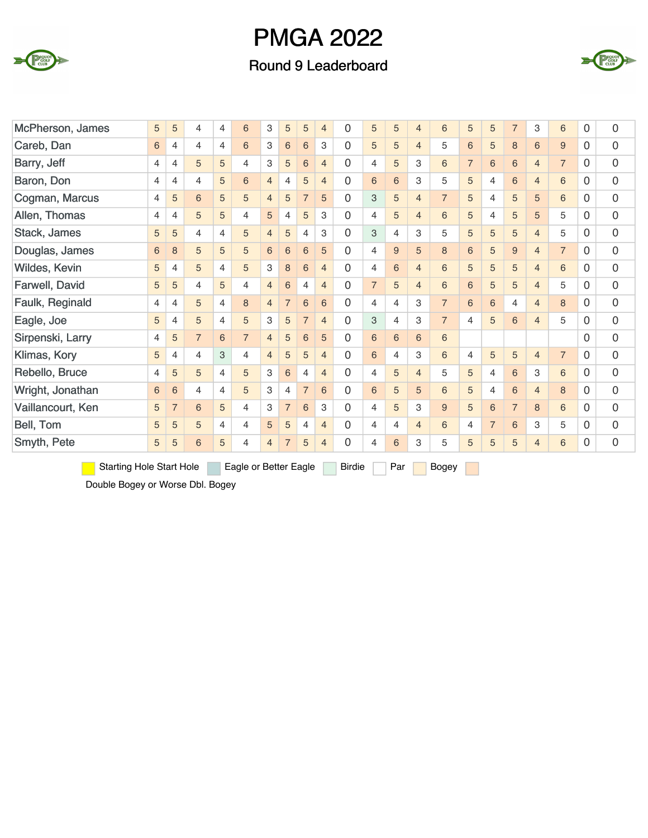

### Round 9 Leaderboard



| McPherson, James                | 5 | 5              | 4              | 4              | 6                     | 3              | 5               | 5               | $\overline{4}$ | 0             | 5              | 5              | $\overline{4}$ | 6              | 5              | 5              | $\overline{7}$ | 3              | 6              | $\Omega$ | 0           |
|---------------------------------|---|----------------|----------------|----------------|-----------------------|----------------|-----------------|-----------------|----------------|---------------|----------------|----------------|----------------|----------------|----------------|----------------|----------------|----------------|----------------|----------|-------------|
| Careb, Dan                      | 6 | 4              | $\overline{4}$ | $\overline{4}$ | 6                     | 3              | $6\,$           | $6\phantom{1}6$ | 3              | 0             | 5              | 5              | $\overline{4}$ | 5              | 6              | 5              | $\,8\,$        | 6              | 9              | $\Omega$ | 0           |
| Barry, Jeff                     | 4 | 4              | 5              | 5              | 4                     | 3              | 5               | $6\phantom{1}$  | $\overline{4}$ | 0             | 4              | 5              | 3              | 6              | $\overline{7}$ | 6              | 6              | $\overline{4}$ | $\overline{7}$ | $\Omega$ | 0           |
| Baron, Don                      | 4 | 4              | $\overline{4}$ | 5              | 6                     | $\overline{4}$ | $\overline{4}$  | 5               | $\overline{4}$ | 0             | 6              | 6              | 3              | 5              | 5              | $\overline{4}$ | 6              | $\overline{4}$ | 6              | 0        | 0           |
| Cogman, Marcus                  | 4 | 5              | 6              | 5              | 5                     | $\overline{4}$ | 5               | $\overline{7}$  | 5              | 0             | 3              | 5              | $\overline{4}$ | $\overline{7}$ | 5              | $\overline{4}$ | 5              | 5              | 6              | 0        | 0           |
| Allen, Thomas                   | 4 | 4              | 5              | 5              | $\overline{4}$        | 5              | $\overline{4}$  | 5               | 3              | 0             | 4              | 5              | $\overline{4}$ | 6              | 5              | 4              | 5              | 5              | 5              | 0        | 0           |
| Stack, James                    | 5 | 5              | 4              | $\overline{4}$ | 5                     | $\overline{4}$ | 5               | $\overline{4}$  | 3              | 0             | 3              | 4              | 3              | 5              | 5              | 5              | 5              | $\overline{4}$ | 5              | 0        | 0           |
| Douglas, James                  | 6 | 8              | 5              | 5              | 5                     | 6              | $6\phantom{1}6$ | 6               | 5              | 0             | 4              | 9              | 5              | 8              | 6              | 5              | 9              | $\overline{4}$ | $\overline{7}$ | 0        | 0           |
| Wildes, Kevin                   | 5 | 4              | 5              | $\overline{4}$ | 5                     | 3              | 8               | 6               | $\overline{4}$ | 0             | 4              | 6              | $\overline{4}$ | 6              | 5              | 5              | 5              | $\overline{4}$ | 6              | $\Omega$ | 0           |
| Farwell, David                  | 5 | 5              | 4              | 5              | 4                     | $\overline{4}$ | $6\phantom{1}6$ | $\overline{4}$  | $\overline{4}$ | 0             | $\overline{7}$ | 5              | $\overline{4}$ | 6              | 6              | 5              | 5              | $\overline{4}$ | 5              | 0        | 0           |
| Faulk, Reginald                 | 4 | 4              | 5              | $\overline{4}$ | 8                     | $\overline{4}$ | 7               | $6\phantom{1}$  | 6              | 0             | 4              | 4              | 3              | $\overline{7}$ | 6              | 6              | $\overline{4}$ | $\overline{4}$ | 8              | $\Omega$ | 0           |
| Eagle, Joe                      | 5 | 4              | 5              | $\overline{4}$ | 5                     | 3              | 5               | $\overline{7}$  | $\overline{4}$ | 0             | 3              | $\overline{4}$ | 3              | $\overline{7}$ | 4              | 5              | 6              | $\overline{4}$ | 5              | $\Omega$ | $\mathbf 0$ |
| Sirpenski, Larry                | 4 | 5              | $\overline{7}$ | 6              | $\overline{7}$        | $\overline{4}$ | 5               | $6\phantom{1}6$ | 5              | 0             | 6              | 6              | 6              | 6              |                |                |                |                |                | $\Omega$ | 0           |
| Klimas, Kory                    | 5 | 4              | 4              | 3              | $\overline{4}$        | $\overline{4}$ | 5               | 5               | $\overline{4}$ | 0             | 6              | $\overline{4}$ | 3              | 6              | $\overline{4}$ | 5              | 5              | $\overline{4}$ | $\overline{7}$ | 0        | 0           |
| Rebello, Bruce                  | 4 | 5              | 5              | $\overline{4}$ | 5                     | 3              | 6               | $\overline{4}$  | $\overline{4}$ | 0             | 4              | 5              | $\overline{4}$ | 5              | 5              | $\overline{4}$ | 6              | 3              | 6              | 0        | 0           |
| Wright, Jonathan                | 6 | 6              | 4              | $\overline{4}$ | 5                     | 3              | $\overline{4}$  | $\overline{7}$  | 6              | 0             | 6              | 5              | 5              | 6              | 5              | $\overline{4}$ | 6              | 4              | 8              | $\Omega$ | 0           |
| Vaillancourt, Ken               | 5 | $\overline{7}$ | 6              | 5              | 4                     | 3              | $\overline{7}$  | 6               | 3              | 0             | 4              | 5              | 3              | 9              | 5              | 6              | $\overline{7}$ | 8              | 6              | $\Omega$ | 0           |
| Bell, Tom                       | 5 | 5              | 5              | $\overline{4}$ | 4                     | 5              | 5               | 4               | $\overline{4}$ | 0             | 4              | 4              | $\overline{4}$ | 6              | 4              | $\overline{7}$ | 6              | 3              | 5              | $\Omega$ | 0           |
| Smyth, Pete                     | 5 | 5              | 6              | 5              | 4                     | $\overline{4}$ | $\overline{7}$  | 5               | $\overline{4}$ | 0             | 4              | 6              | 3              | 5              | 5              | 5              | 5              | $\overline{4}$ | 6              | 0        | 0           |
| <b>Starting Hole Start Hole</b> |   |                |                |                | Eagle or Better Eagle |                |                 |                 |                | <b>Birdie</b> |                | Par            |                | Bogey          |                |                |                |                |                |          |             |

Double Bogey or Worse Dbl. Bogey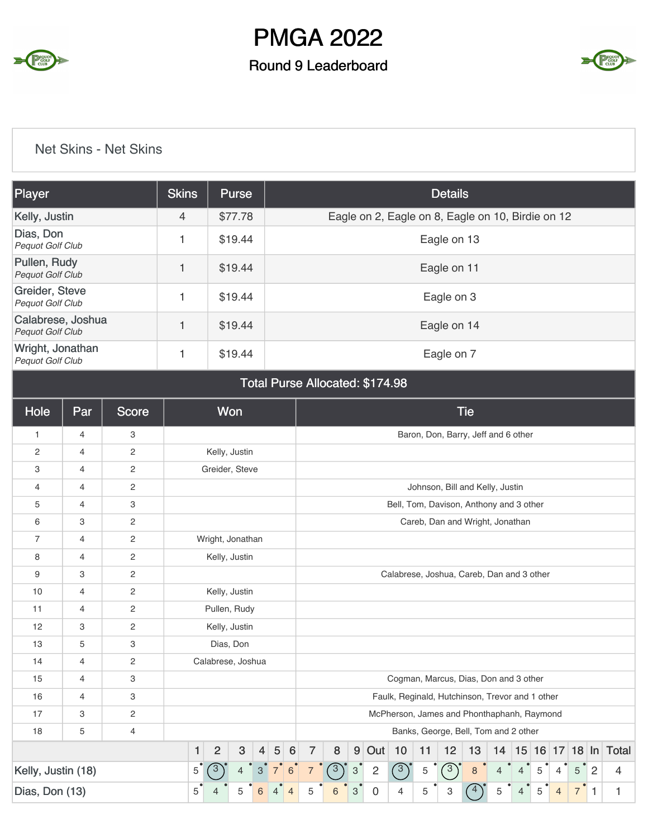

### Round 9 Leaderboard



### Net Skins - Net Skins

| <b>Player</b>                                | <b>Skins</b> | <b>Purse</b> | <b>Details</b>                                    |
|----------------------------------------------|--------------|--------------|---------------------------------------------------|
| Kelly, Justin                                | 4            | \$77.78      | Eagle on 2, Eagle on 8, Eagle on 10, Birdie on 12 |
| Dias, Don<br>Pequot Golf Club                |              | \$19.44      | Eagle on 13                                       |
| Pullen, Rudy<br><b>Pequot Golf Club</b>      | 1            | \$19.44      | Eagle on 11                                       |
| Greider, Steve<br><b>Pequot Golf Club</b>    |              | \$19.44      | Eagle on 3                                        |
| Calabrese, Joshua<br><b>Pequot Golf Club</b> | 1            | \$19.44      | Eagle on 14                                       |
| Wright, Jonathan<br><b>Pequot Golf Club</b>  |              | \$19.44      | Eagle on 7                                        |

#### Total Purse Allocated: \$174.98

| Hole               | Par | <b>Score</b>   |   | Won                          |                           |                |                |                |            |        |                |                |    |                | <b>Tie</b>                                      |                |                |   |                |                |   |                      |
|--------------------|-----|----------------|---|------------------------------|---------------------------|----------------|----------------|----------------|------------|--------|----------------|----------------|----|----------------|-------------------------------------------------|----------------|----------------|---|----------------|----------------|---|----------------------|
| 1                  | 4   | 3              |   |                              |                           |                |                |                |            |        |                |                |    |                | Baron, Don, Barry, Jeff and 6 other             |                |                |   |                |                |   |                      |
| 2                  | 4   | 2              |   | Kelly, Justin                |                           |                |                |                |            |        |                |                |    |                |                                                 |                |                |   |                |                |   |                      |
| 3                  | 4   | 2              |   | Greider, Steve               |                           |                |                |                |            |        |                |                |    |                |                                                 |                |                |   |                |                |   |                      |
| 4                  | 4   | 2              |   |                              |                           |                |                |                |            |        |                |                |    |                | Johnson, Bill and Kelly, Justin                 |                |                |   |                |                |   |                      |
| 5                  | 4   | 3              |   |                              |                           |                |                |                |            |        |                |                |    |                | Bell, Tom, Davison, Anthony and 3 other         |                |                |   |                |                |   |                      |
| 6                  | 3   | 2              |   |                              |                           |                |                |                |            |        |                |                |    |                | Careb, Dan and Wright, Jonathan                 |                |                |   |                |                |   |                      |
| $\overline{7}$     | 4   | 2              |   | Wright, Jonathan             |                           |                |                |                |            |        |                |                |    |                |                                                 |                |                |   |                |                |   |                      |
| 8                  | 4   | $\overline{c}$ |   | Kelly, Justin                |                           |                |                |                |            |        |                |                |    |                |                                                 |                |                |   |                |                |   |                      |
| 9                  | 3   | 2              |   |                              |                           |                |                |                |            |        |                |                |    |                | Calabrese, Joshua, Careb, Dan and 3 other       |                |                |   |                |                |   |                      |
| 10                 | 4   | 2              |   | Kelly, Justin                |                           |                |                |                |            |        |                |                |    |                |                                                 |                |                |   |                |                |   |                      |
| 11                 | 4   | 2              |   | Pullen, Rudy                 |                           |                |                |                |            |        |                |                |    |                |                                                 |                |                |   |                |                |   |                      |
| 12                 | 3   | 2              |   | Kelly, Justin                |                           |                |                |                |            |        |                |                |    |                |                                                 |                |                |   |                |                |   |                      |
| 13                 | 5   | 3              |   | Dias, Don                    |                           |                |                |                |            |        |                |                |    |                |                                                 |                |                |   |                |                |   |                      |
| 14                 | 4   | 2              |   | Calabrese, Joshua            |                           |                |                |                |            |        |                |                |    |                |                                                 |                |                |   |                |                |   |                      |
| 15                 | 4   | 3              |   |                              |                           |                |                |                |            |        |                |                |    |                | Cogman, Marcus, Dias, Don and 3 other           |                |                |   |                |                |   |                      |
| 16                 | 4   | 3              |   |                              |                           |                |                |                |            |        |                |                |    |                | Faulk, Reginald, Hutchinson, Trevor and 1 other |                |                |   |                |                |   |                      |
| 17                 | 3   | $\mathbf{2}$   |   |                              |                           |                |                |                |            |        |                |                |    |                | McPherson, James and Phonthaphanh, Raymond      |                |                |   |                |                |   |                      |
| 18                 | 5   | 4              |   |                              |                           |                |                |                |            |        |                |                |    |                | Banks, George, Bell, Tom and 2 other            |                |                |   |                |                |   |                      |
|                    |     |                | 1 | $\sqrt{3}$<br>$\overline{2}$ |                           | 5<br>4         | 6              | $\overline{7}$ | 8          |        | $9$ Out        | 10             | 11 | 12             | 13                                              | 14             |                |   |                |                |   | 15 16 17 18 In Total |
| Kelly, Justin (18) |     | 6              |   | $\sqrt{3}$                   | $\ensuremath{\mathsf{3}}$ | $\overline{c}$ | $\sqrt{3}$     | 5              | $\sqrt{3}$ | $\bf8$ | $\overline{4}$ | $\overline{4}$ | 5  | $\overline{4}$ | 5                                               | $\overline{2}$ | $\overline{4}$ |   |                |                |   |                      |
| Dias, Don (13)     |     |                | 5 | 5                            | 6                         |                | $\overline{4}$ | 5              | 6          | 3      | 0              | 4              | 5  | 3              | $\overline{4}$                                  | 5              | $\overline{4}$ | 5 | $\overline{4}$ | $\overline{7}$ | 1 |                      |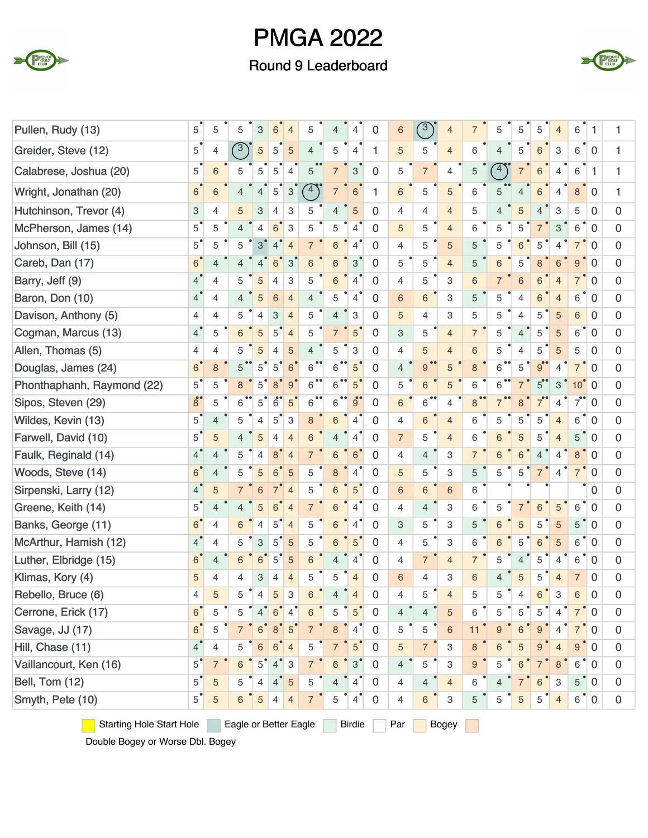

Round 9 Leaderboard



| Pullen, Rudy (13)                                                                         | 5                         | 5                        | 5                        | 3              | 6              | 4              | 5                 | 4              | 4                        | 0              | 6              | 3               | $\overline{4}$ |                | 5              | 5              | 5              | $\overline{4}$ | 6                | 1                |   |
|-------------------------------------------------------------------------------------------|---------------------------|--------------------------|--------------------------|----------------|----------------|----------------|-------------------|----------------|--------------------------|----------------|----------------|-----------------|----------------|----------------|----------------|----------------|----------------|----------------|------------------|------------------|---|
| Greider, Steve (12)                                                                       | 5                         | 4                        | $\sqrt{3}$               | $\sqrt{5}$     | 5              | 5              | $\overline{4}$    | 5              | $\overline{4}$           | 1              | 5              | 5               | $\overline{4}$ | 6              | $\overline{4}$ | 5              | 6              | 3              | 6                | $\mathbf 0$      |   |
| Calabrese, Joshua (20)                                                                    | 5                         | 6                        | 5                        | 5              | 5              | 4              | 5                 | $\overline{7}$ | 3                        | $\overline{0}$ | 5              | $\overline{7}$  | $\overline{4}$ | 5              | $\binom{4}{ }$ |                | 6              | 4              | 6                | $\mathbf{1}$     | 1 |
| Wright, Jonathan (20)                                                                     | $\,$ 6 $\,$               | 6                        | 4                        | 4              | 5              | 3              | $4^{\circ}$       | $\overline{7}$ | 6                        | 1              | 6              | 5               | 5              | 6              |                | $\overline{4}$ | 6              | 4              | 8                | $\overline{0}$   |   |
| Hutchinson, Trevor (4)                                                                    | $\ensuremath{\mathsf{3}}$ | 4                        | 5                        | 3              | 4              | 3              | 5                 | 4              | 5                        | $\mathbf 0$    | $\overline{4}$ | $\overline{4}$  | $\overline{4}$ | 5              | $\overline{4}$ | 5              | 4              | 3              | 5                | 0                | 0 |
| McPherson, James (14)                                                                     | $\overline{5}$            | 5                        | $\overline{\mathcal{L}}$ | $\overline{4}$ | 6              | 3              | 5                 | 5              | $\overline{4}$           | $\Omega$       | 5              | 5               | $\overline{4}$ | 6              | 5              | 5              | $\overline{7}$ | 3              | 6                | $\mathbf 0$      | 0 |
| Johnson, Bill (15)                                                                        | $5^{\degree}$             | 5                        | 5                        | 3              | $\overline{4}$ | $\overline{4}$ | $\overline{7}$    | 6              | $\overline{4}$           | $\mathbf 0$    | 4              | 5               | 5              | 5              | 5              | 6              | 5              | $\overline{4}$ | $\overline{7}$   | $\mathbf 0$      | 0 |
| Careb, Dan (17)                                                                           | 6 <sup>°</sup>            | 4                        | 4                        | 4              | 6              | 3              | 6                 | 6              | 3                        | $\Omega$       | 5              | 5               | $\overline{4}$ | 5              | 6              | 5              | 8              | 6              | $\boldsymbol{9}$ | $\mathbf 0$      | 0 |
| Barry, Jeff (9)                                                                           | $\overline{4}$            | 4                        | 5                        | 5              | 4              | 3              | 5                 | 6              | 4                        | 0              | $\overline{4}$ | 5               | 3              | 6              | $\overline{7}$ | 6              | 6              | $\overline{4}$ | $\overline{7}$   | $\mathbf 0$      | 0 |
| Baron, Don (10)                                                                           | $\overline{4}$            | 4                        | 4                        | 5              | 6              | $\overline{4}$ | $\overline{4}$    | 5              | $\overline{4}$           | $\overline{0}$ | 6              | $6\phantom{1}6$ | 3              | 5              | 5              | $\overline{4}$ | 6              | $\overline{4}$ | 6                | 0                | 0 |
| Davison, Anthony (5)                                                                      | $\overline{4}$            | $\overline{4}$           | 5                        | $\overline{4}$ | $\mathbf{3}$   | $\overline{4}$ | 5                 | $\overline{4}$ | 3                        | $\overline{0}$ | 5              | $\overline{4}$  | 3              | 5              | 5              | $\overline{4}$ | 5              | 5              | 6                | 0                | 0 |
| Cogman, Marcus (13)                                                                       | 4 <sup>°</sup>            | 5                        | 6                        | 5              | 5              | $\overline{4}$ | 5                 | $\overline{7}$ | 5                        | $\Omega$       | 3              | 5               | $\overline{4}$ | $\overline{7}$ | 5              | $\overline{4}$ | 5              | 5              | 6                | $\mathbf 0$      | 0 |
| Allen, Thomas (5)                                                                         | $\overline{4}$            | 4                        | 5                        | 5              | 4              | 5              | $\overline{4}$    | 5              | 3                        | $\Omega$       | 4              | 5               | $\overline{4}$ | 6              | 5              | $\overline{4}$ | 5              | 5              | 5                | 0                | 0 |
| Douglas, James (24)                                                                       | $6^{\circ}$               | 8                        | 5                        | 5              | 5              | 6              | 6                 | 6              | $5^{\degree}$            | $\mathbf 0$    | $\overline{4}$ | 9               | 5              | 8              | 6              | 5              | $9^{\circ}$    | 4              | $\overline{7}$   | $\overline{0}$   | 0 |
| Phonthaphanh, Raymond (22)                                                                | $5^{\degree}$             | 5                        | 8                        | 5              | 8              | $\overline{9}$ | 6                 | 6              | 5                        | $\mathbf 0$    | 5              | 6               | 5              | 6              | 6              | $\overline{7}$ | 5              | 3              | 10 <sup>°</sup>  | $\mathbf 0$      | 0 |
| Sipos, Steven (29)                                                                        | $8^\circ$                 | 5                        | 6                        | 5              | $\ddot{6}$     | 5              | $^{\bullet}$<br>6 | $\bullet$<br>6 | $\ddot{g}$               | $\Omega$       | 6              | 6               | 4              | 8              | $\overline{7}$ | 8              |                | 4              | $7^{\bullet}$    | 0                | 0 |
| Wildes, Kevin (13)                                                                        | $5^{\degree}$             | 4                        | 5                        | 4              | 5              | 3              | 8                 | 6              | 4                        | 0              | $\overline{4}$ | 6               | $\overline{4}$ | 6              | 5              | 5              | 5              | $\overline{4}$ | 6                | $\mathbf 0$      | 0 |
| Farwell, David (10)                                                                       | 5                         | 5                        | 4                        | 5              | 4              | $\overline{4}$ | 6                 | $\overline{4}$ | $\overline{4}$           | $\overline{0}$ | $\overline{7}$ | 5               | $\overline{4}$ | 6              | 6              | 5              | 5              | $\overline{4}$ | 5                | 0                | 0 |
| Faulk, Reginald (14)                                                                      | $\overline{4}$            | $\overline{4}$           | 5                        | 4              | 8              | $\overline{4}$ | $\overline{7}$    | 6              | 6                        | $\overline{0}$ | 4              | $\overline{4}$  | 3              | $\overline{7}$ | 6              | 6              | 4              | $\overline{4}$ | 8                | $\mathbf 0$      | 0 |
| Woods, Steve (14)                                                                         | $6^{\degree}$             | $\overline{4}$           | 5                        | 5              | 6              | 5              | 5                 | 8              | 4                        | $\overline{0}$ | 5              | 5               | 3              | 5              | 5              | 5              | 7              | 4              | $\overline{7}$   | $\mathbf 0$      | 0 |
| Sirpenski, Larry (12)                                                                     | $\overline{4}$            | 5                        |                          | 6              | $\overline{7}$ | $\overline{4}$ | 5                 | 6              | 5                        | 0              | 6              | 6               | 6              | 6              |                |                |                |                |                  | $\mathbf 0$      | 0 |
| Greene, Keith (14)                                                                        | $5^{\degree}$             | $\overline{\mathcal{L}}$ | 4                        | 5              | 6              | $\overline{4}$ | $\overline{7}$    | 6              | $\overline{4}$           | $\Omega$       | 4              | $\overline{4}$  | 3              | 6              | 5              | $\overline{7}$ | 6              | 5              | 6                | $\mathbf 0$      | 0 |
| Banks, George (11)                                                                        | 6 <sup>°</sup>            | 4                        | 6                        | $\overline{4}$ | 5              | $\overline{4}$ | 5                 | 6              | 4                        | $\mathbf 0$    | 3              | 5               | 3              | 5              | 6              | 5              | 5              | 5              | 5                | $\overline{0}$   | 0 |
| McArthur, Hamish (12)                                                                     | $\overline{4}$            | 4                        | 5                        | 3              | 5              | 5              | 5                 | 6              | 5                        | $\Omega$       | 4              | 5               | 3              | 6              | 6              | 5              | 6              | 5              | 6                | 0                | 0 |
| Luther, Elbridge (15)                                                                     | 6 <sup>o</sup>            | 4                        | 6                        | 6              | 5              | 5              | 6                 | $\overline{4}$ | 4                        | 0              | $\overline{4}$ | $\overline{7}$  | $\overline{4}$ | $\overline{7}$ | 5              | $\overline{4}$ | 5              | $\overline{4}$ | 6                | $\mathbf 0$      | 0 |
| Klimas, Kory (4)                                                                          | 5                         | 4                        | 4                        | 3              | 4              | $\overline{4}$ | 5                 | 5              | $\overline{4}$           | $\mathbf 0$    | 6              | 4               | 3              | 6              | $\overline{4}$ | 5              | 5              | $\overline{4}$ | $\overline{7}$   | 0                | 0 |
| Rebello, Bruce (6)                                                                        | 4                         | 5                        | 5                        | 4              | $\overline{5}$ | 3              | $6\phantom{1}$    |                | $\overline{\mathcal{L}}$ | 0              | 4              | 5               | $\overline{4}$ | 5              | 5              |                | 6              | 3              | $\,6\,$          | $\mathbf 0$      | 0 |
| Cerrone, Erick (17)                                                                       | 6 <sup>°</sup>            | 5                        | 5                        | 4 <sup>°</sup> | $6^{\degree}$  | 4              | 6                 | 5              | $\overline{5}$           | $\Omega$       | $\overline{4}$ | $\overline{4}$  | 5              | 6              | 5              | 5              | 5              | 4              | $\overline{7}$   | 0                | 0 |
| Savage, JJ (17)                                                                           | 6 <sup>°</sup>            | 5                        |                          | 6              | 8              | 5              | $\overline{7}$    | $\,8\,$        | 4                        | 0              | 5              | 5               | $\,$ 6 $\,$    | 11             | 9              | 6              | 9              | 4              | $\overline{7}$   | 0                | 0 |
| Hill, Chase (11)                                                                          | $\overline{4}$            | 4                        | 5                        | 6              | 6              | $\overline{4}$ | 5                 | $\overline{7}$ | $5^{\degree}$            | 0              | 5              | $\overline{7}$  | 3              | $\bf 8$        | 6              | 5              | 9              |                | $\boldsymbol{9}$ | 0                | 0 |
| Vaillancourt, Ken (16)                                                                    | $5^{\degree}$             | $\overline{7}$           | 6                        | 5              | $\overline{4}$ | 3              | $\overline{7}$    | 6              | $3^{\circ}$              | 0              | $\overline{4}$ | 5               | 3              | 9              | 5              | 6              | $\overline{7}$ | 8              | 6                | $\boldsymbol{0}$ | 0 |
| Bell, Tom (12)                                                                            | $5^{\degree}$             | 5                        | 5                        | 4              | 4              | 5              | 5                 | $\overline{4}$ | 4                        | 0              | 4              | $\overline{4}$  | $\overline{4}$ | 6              | $\overline{4}$ | $\overline{7}$ | 6              | 3              | 5                | $^{\bullet}$ 0   | 0 |
| Smyth, Pete (10)                                                                          | $5^{\degree}$             | 5                        | 6                        | $\sqrt{5}$     | 4              | $\overline{4}$ | $\overline{7}$    | 5              | 4                        | 0              | 4              | 6               | 3              | 5              | 5              | $\sqrt{5}$     | 5              | $\overline{4}$ | $\overline{6}$   | $\mathbf 0$      | 0 |
| <b>Starting Hole Start Hole</b><br>Eagle or Better Eagle<br><b>Birdie</b><br>Par<br>Bogey |                           |                          |                          |                |                |                |                   |                |                          |                |                |                 |                |                |                |                |                |                |                  |                  |   |

Double Bogey or Worse Dbl. Bogey